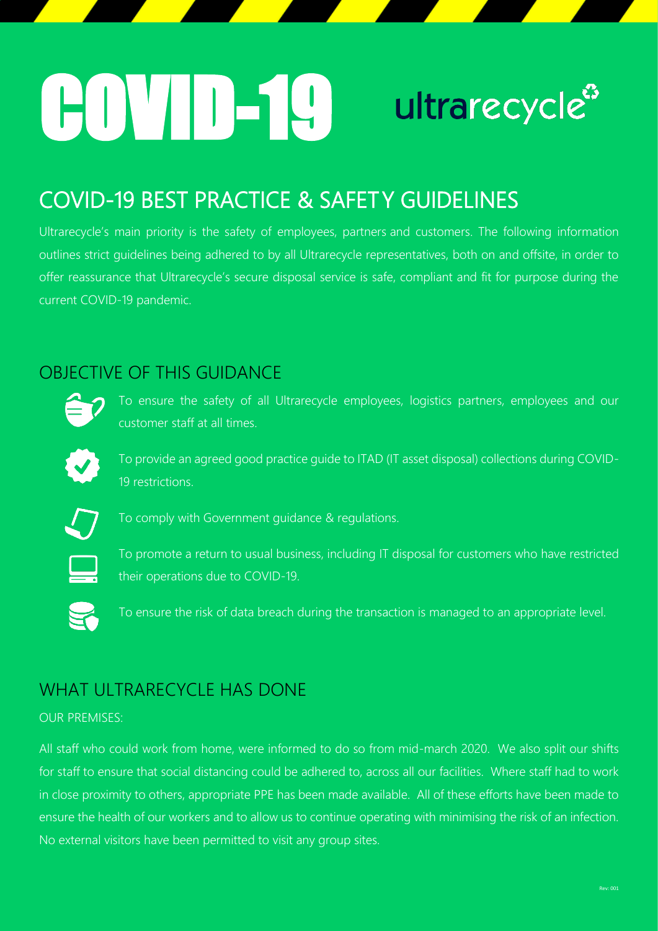# COVID-19ultrarecycle<sup>3</sup>

## COVID-19 BEST PRACTICE & SAFETY GUIDELINES

Ultrarecycle's main priority is the safety of employees, partners and customers. The following information outlines strict guidelines being adhered to by all Ultrarecycle representatives, both on and offsite, in order to offer reassurance that Ultrarecycle's secure disposal service is safe, compliant and fit for purpose during the current COVID-19 pandemic.

## OBJECTIVE OF THIS GUIDANCE



To ensure the safety of all Ultrarecycle employees, logistics partners, employees and our customer staff at all times.



To provide an agreed good practice guide to ITAD (IT asset disposal) collections during COVID-19 restrictions.



To comply with Government guidance & regulations.



To promote a return to usual business, including IT disposal for customers who have restricted their operations due to COVID-19.

To ensure the risk of data breach during the transaction is managed to an appropriate level.

## WHAT ULTRARECYCLE HAS DONE

#### OUR PREMISES:

All staff who could work from home, were informed to do so from mid-march 2020. We also split our shifts for staff to ensure that social distancing could be adhered to, across all our facilities. Where staff had to work in close proximity to others, appropriate PPE has been made available. All of these efforts have been made to ensure the health of our workers and to allow us to continue operating with minimising the risk of an infection. No external visitors have been permitted to visit any group sites.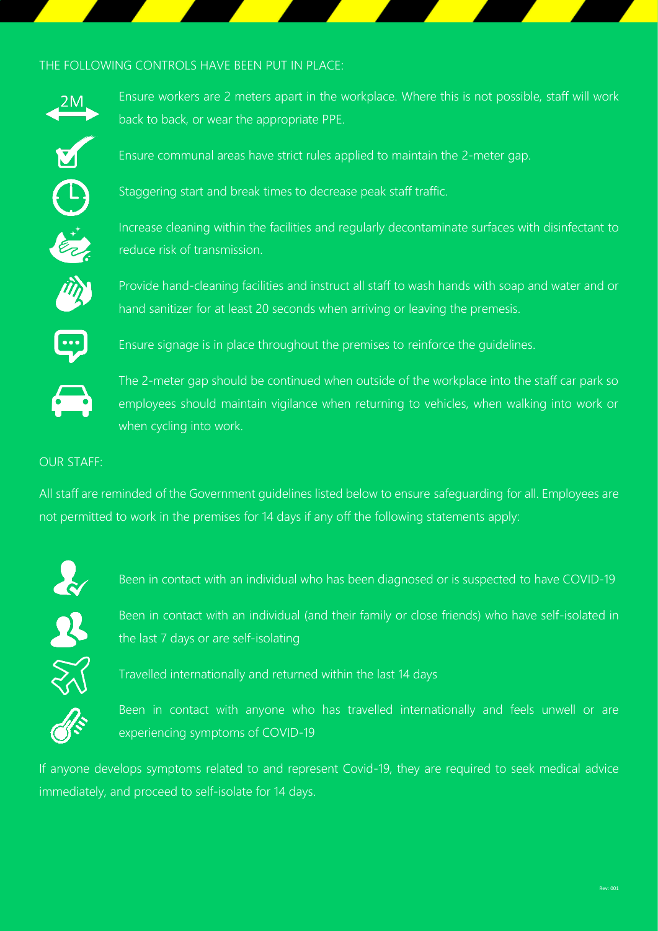#### THE FOLLOWING CONTROLS HAVE BEEN PUT IN PLACE:



Ensure workers are 2 meters apart in the workplace. Where this is not possible, staff will work back to back, or wear the appropriate PPE.



Staggering start and break times to decrease peak staff traffic.

Ensure communal areas have strict rules applied to maintain the 2-meter gap.



Increase cleaning within the facilities and regularly decontaminate surfaces with disinfectant to reduce risk of transmission.



Provide hand-cleaning facilities and instruct all staff to wash hands with soap and water and or hand sanitizer for at least 20 seconds when arriving or leaving the premesis.



Ensure signage is in place throughout the premises to reinforce the guidelines.



The 2-meter gap should be continued when outside of the workplace into the staff car park so employees should maintain vigilance when returning to vehicles, when walking into work or when cycling into work.

#### OUR STAFF:

All staff are reminded of the Government guidelines listed below to ensure safeguarding for all. Employees are not permitted to work in the premises for 14 days if any off the following statements apply:



Been in contact with an individual who has been diagnosed or is suspected to have COVID-19



Been in contact with an individual (and their family or close friends) who have self-isolated in the last 7 days or are self-isolating



Travelled internationally and returned within the last 14 days



Been in contact with anyone who has travelled internationally and feels unwell or are experiencing symptoms of COVID-19

If anyone develops symptoms related to and represent Covid-19, they are required to seek medical advice immediately, and proceed to self-isolate for 14 days.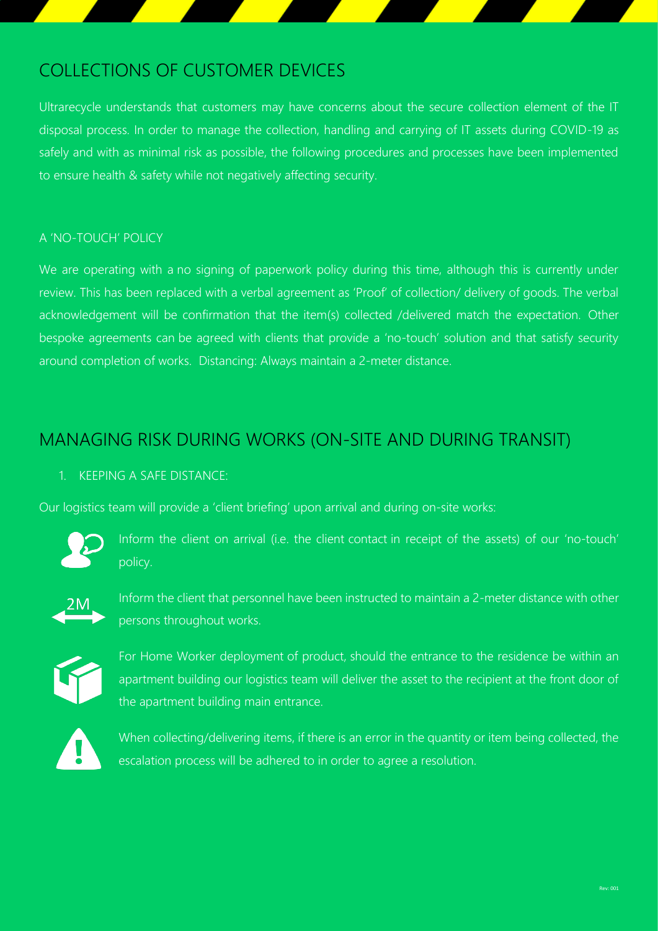## COLLECTIONS OF CUSTOMER DEVICES

Ultrarecycle understands that customers may have concerns about the secure collection element of the IT disposal process. In order to manage the collection, handling and carrying of IT assets during COVID-19 as safely and with as minimal risk as possible, the following procedures and processes have been implemented to ensure health & safety while not negatively affecting security.

#### A 'NO-TOUCH' POLICY

We are operating with a no signing of paperwork policy during this time, although this is currently under review. This has been replaced with a verbal agreement as 'Proof' of collection/ delivery of goods. The verbal acknowledgement will be confirmation that the item(s) collected /delivered match the expectation. Other bespoke agreements can be agreed with clients that provide a 'no-touch' solution and that satisfy security around completion of works. Distancing: Always maintain a 2-meter distance.

### MANAGING RISK DURING WORKS (ON-SITE AND DURING TRANSIT)

#### 1. KEEPING A SAFE DISTANCE:

Our logistics team will provide a 'client briefing' upon arrival and during on-site works:



Inform the client on arrival (i.e. the client contact in receipt of the assets) of our 'no-touch' policy.



Inform the client that personnel have been instructed to maintain a 2-meter distance with other persons throughout works.



For Home Worker deployment of product, should the entrance to the residence be within an apartment building our logistics team will deliver the asset to the recipient at the front door of the apartment building main entrance.



When collecting/delivering items, if there is an error in the quantity or item being collected, the escalation process will be adhered to in order to agree a resolution.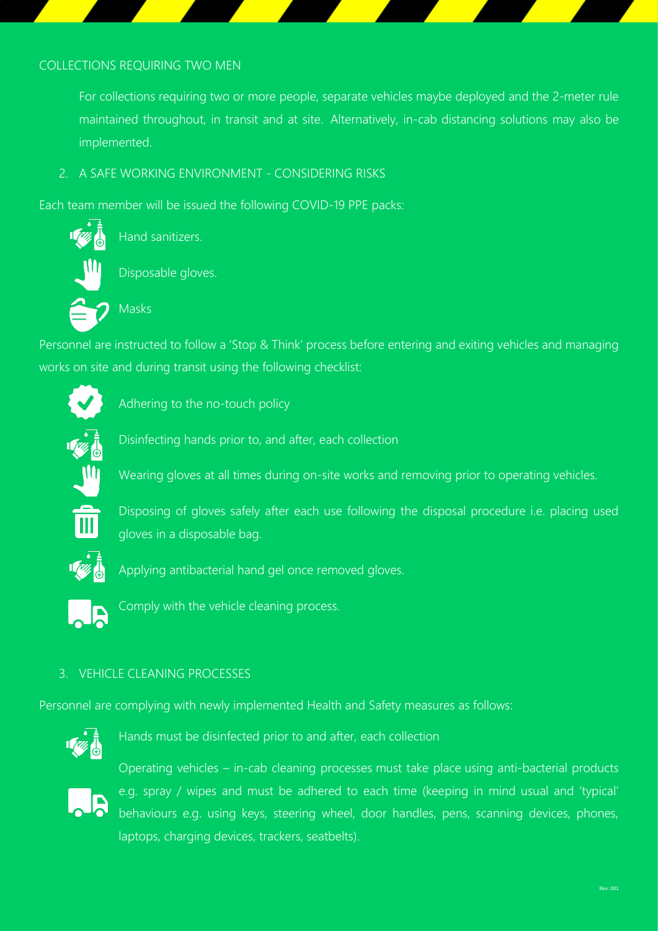#### COLLECTIONS REQUIRING TWO MEN

For collections requiring two or more people, separate vehicles maybe deployed and the 2-meter rule maintained throughout, in transit and at site. Alternatively, in-cab distancing solutions may also be implemented.

2. A SAFE WORKING ENVIRONMENT - CONSIDERING RISKS

Each team member will be issued the following COVID-19 PPE packs:



Hand sanitizers.

Disposable gloves.

Masks

Personnel are instructed to follow a 'Stop & Think' process before entering and exiting vehicles and managing works on site and during transit using the following checklist:



Adhering to the no-touch policy



Disinfecting hands prior to, and after, each collection

Wearing gloves at all times during on-site works and removing prior to operating vehicles.



Disposing of gloves safely after each use following the disposal procedure i.e. placing used gloves in a disposable bag.



Applying antibacterial hand gel once removed gloves.



Comply with the vehicle cleaning process.

#### 3. VEHICLE CLEANING PROCESSES

Personnel are complying with newly implemented Health and Safety measures as follows:



Hands must be disinfected prior to and after, each collection



Operating vehicles – in-cab cleaning processes must take place using anti-bacterial products e.g. spray / wipes and must be adhered to each time (keeping in mind usual and 'typical' behaviours e.g. using keys, steering wheel, door handles, pens, scanning devices, phones, laptops, charging devices, trackers, seatbelts).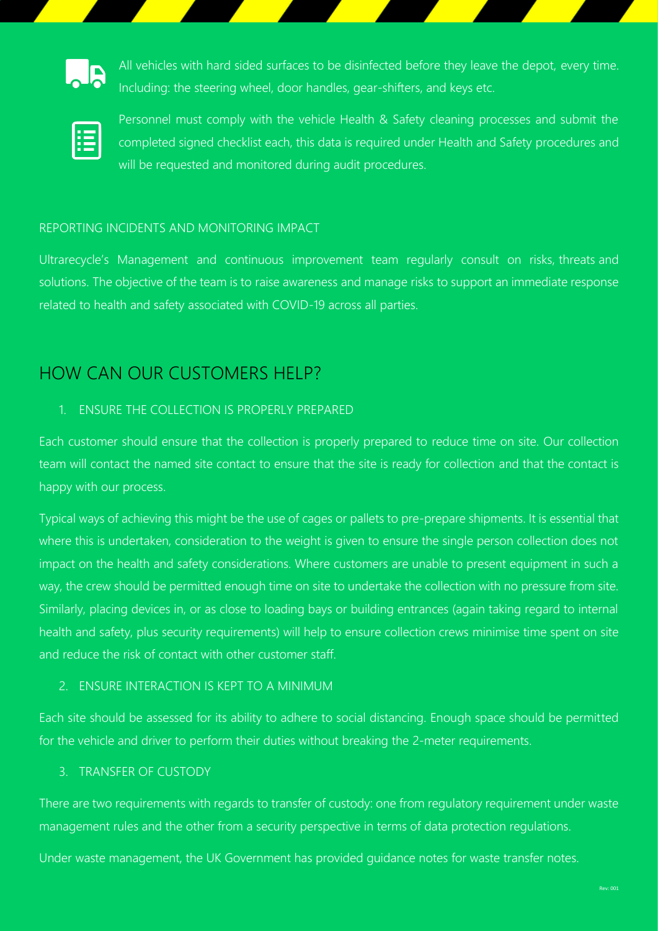

All vehicles with hard sided surfaces to be disinfected before they leave the depot, every time. Including: the steering wheel, door handles, gear-shifters, and keys etc.



Personnel must comply with the vehicle Health & Safety cleaning processes and submit the completed signed checklist each, this data is required under Health and Safety procedures and will be requested and monitored during audit procedures.

#### REPORTING INCIDENTS AND MONITORING IMPACT

Ultrarecycle's Management and continuous improvement team regularly consult on risks, threats and solutions. The objective of the team is to raise awareness and manage risks to support an immediate response related to health and safety associated with COVID-19 across all parties.

## HOW CAN OUR CUSTOMERS HELP?

#### 1. ENSURE THE COLLECTION IS PROPERLY PREPARED

Each customer should ensure that the collection is properly prepared to reduce time on site. Our collection team will contact the named site contact to ensure that the site is ready for collection and that the contact is happy with our process.

Typical ways of achieving this might be the use of cages or pallets to pre-prepare shipments. It is essential that where this is undertaken, consideration to the weight is given to ensure the single person collection does not impact on the health and safety considerations. Where customers are unable to present equipment in such a way, the crew should be permitted enough time on site to undertake the collection with no pressure from site. Similarly, placing devices in, or as close to loading bays or building entrances (again taking regard to internal health and safety, plus security requirements) will help to ensure collection crews minimise time spent on site and reduce the risk of contact with other customer staff.

#### 2. ENSURE INTERACTION IS KEPT TO A MINIMUM

Each site should be assessed for its ability to adhere to social distancing. Enough space should be permitted for the vehicle and driver to perform their duties without breaking the 2-meter requirements.

#### 3. TRANSFER OF CUSTODY

There are two requirements with regards to transfer of custody: one from regulatory requirement under waste management rules and the other from a security perspective in terms of data protection regulations.

Under waste management, the UK Government has provided guidance notes for waste transfer notes.